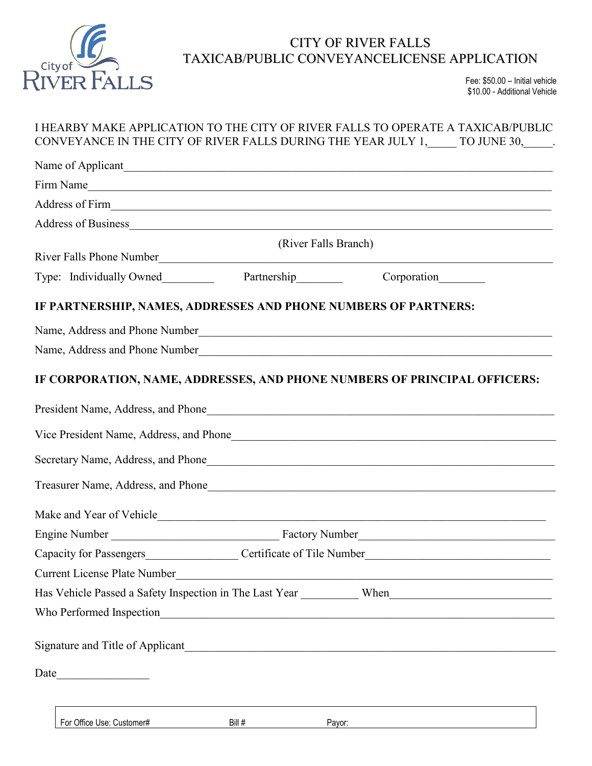

## CITY OF RIVER FALLS TAXICAB/PUBLIC CONVEYANCELICENSE APPLICATION

Fee: \$50.00 – Initial vehicle \$10.00 - Additional Vehicle

|                                                                                  |        | I HEARBY MAKE APPLICATION TO THE CITY OF RIVER FALLS TO OPERATE A TAXICAB/PUBLIC<br>CONVEYANCE IN THE CITY OF RIVER FALLS DURING THE YEAR JULY 1, _____ TO JUNE 30, _____.                                                     |  |
|----------------------------------------------------------------------------------|--------|--------------------------------------------------------------------------------------------------------------------------------------------------------------------------------------------------------------------------------|--|
|                                                                                  |        |                                                                                                                                                                                                                                |  |
|                                                                                  |        | Firm Name                                                                                                                                                                                                                      |  |
|                                                                                  |        | Address of Firm 1986 and 2008 and 2008 and 2008 and 2008 and 2008 and 2008 and 2008 and 2008 and 2008 and 2008 and 2008 and 2008 and 2008 and 2008 and 2008 and 2008 and 2008 and 2008 and 2008 and 2008 and 2008 and 2008 and |  |
|                                                                                  |        |                                                                                                                                                                                                                                |  |
|                                                                                  |        | (River Falls Branch)                                                                                                                                                                                                           |  |
|                                                                                  |        |                                                                                                                                                                                                                                |  |
| IF PARTNERSHIP, NAMES, ADDRESSES AND PHONE NUMBERS OF PARTNERS:                  |        |                                                                                                                                                                                                                                |  |
| Name, Address and Phone Number                                                   |        | <u> 1989 - Johann Stoff, deutscher Stoffen und der Stoffen und der Stoffen und der Stoffen und der Stoffen und der</u>                                                                                                         |  |
|                                                                                  |        | Name, Address and Phone Number                                                                                                                                                                                                 |  |
|                                                                                  |        | IF CORPORATION, NAME, ADDRESSES, AND PHONE NUMBERS OF PRINCIPAL OFFICERS:                                                                                                                                                      |  |
|                                                                                  |        |                                                                                                                                                                                                                                |  |
|                                                                                  |        |                                                                                                                                                                                                                                |  |
|                                                                                  |        |                                                                                                                                                                                                                                |  |
|                                                                                  |        |                                                                                                                                                                                                                                |  |
|                                                                                  |        |                                                                                                                                                                                                                                |  |
|                                                                                  |        |                                                                                                                                                                                                                                |  |
| Capacity for Passengers_____________________Certificate of Tile Number__________ |        |                                                                                                                                                                                                                                |  |
| <b>Current License Plate Number</b>                                              |        | <u> 1989 - Jan Barat, politik američki politik († 1958)</u>                                                                                                                                                                    |  |
|                                                                                  |        | Has Vehicle Passed a Safety Inspection in The Last Year ___________ When____________________________                                                                                                                           |  |
|                                                                                  |        |                                                                                                                                                                                                                                |  |
|                                                                                  |        |                                                                                                                                                                                                                                |  |
| Date                                                                             |        |                                                                                                                                                                                                                                |  |
|                                                                                  |        |                                                                                                                                                                                                                                |  |
| For Office Use: Customer#                                                        | Bill # | Payor:                                                                                                                                                                                                                         |  |